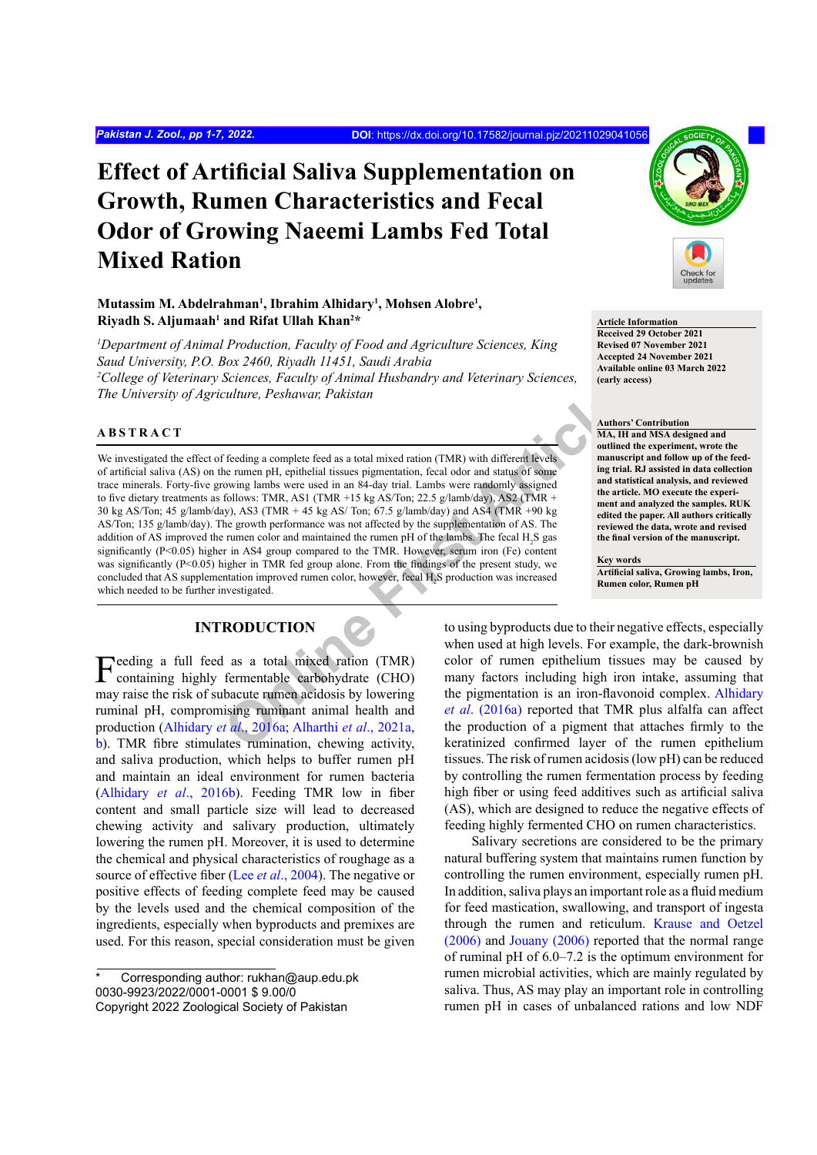# **Effect of Artificial Saliva Supplementation on Growth, Rumen Characteristics and Fecal Odor of Growing Naeemi Lambs Fed Total Mixed Ration**

## **Mutassim M. Abdelrahman<sup>1</sup> , Ibrahim Alhidary<sup>1</sup> , Mohsen Alobre<sup>1</sup> , Riyadh S. Aljumaah<sup>1</sup> and Rifat Ullah Khan<sup>2</sup> \***

*1 Department of Animal Production, Faculty of Food and Agriculture Sciences, King Saud University, P.O. Box 2460, Riyadh 11451, Saudi Arabia 2 College of Veterinary Sciences, Faculty of Animal Husbandry and Veterinary Sciences, The University of Agriculture, Peshawar, Pakistan*

## **ABSTRACT**

Call time, Peshawar, Pakistan<br>
Feeding a complete feed as a total mixed ration (TMR) with different levels<br>
neutron per used in an 84-day trial. Lambs were randomly assigned<br>
in the time time in equilibrical tissues permet We investigated the effect of feeding a complete feed as a total mixed ration (TMR) with different levels of artificial saliva (AS) on the rumen pH, epithelial tissues pigmentation, fecal odor and status of some trace minerals. Forty-five growing lambs were used in an 84-day trial. Lambs were randomly assigned to five dietary treatments as follows: TMR, AS1 (TMR +15 kg AS/Ton; 22.5 g/lamb/day), AS2 (TMR + 30 kg AS/Ton; 45 g/lamb/day), AS3 (TMR + 45 kg AS/ Ton; 67.5 g/lamb/day) and AS4 (TMR +90 kg AS/Ton; 135 g/lamb/day). The growth performance was not affected by the supplementation of AS. The addition of AS improved the rumen color and maintained the rumen pH of the lambs. The fecal  $H_2S$  gas significantly (P<0.05) higher in AS4 group compared to the TMR. However, serum iron (Fe) content was significantly (P<0.05) higher in TMR fed group alone. From the findings of the present study, we concluded that AS supplementation improved rumen color, however, fecal H<sub>2</sub>S production was increased which needed to be further investigated.

## **INTRODUCTION**

Feeding a full feed as a total mixed ration (TMR) containing highly fermentable carbohydrate (CHO) may raise the risk of subacute rumen acidosis by lowering ruminal pH, compromising ruminant animal health and production (Alhidary *et al*., 2016a; Alharthi *et al*., 2021a, [b\)](#page-4-1). TMR fibre stimulates rumination, chewing activity, and saliva production, which helps to buffer rumen pH and maintain an ideal environment for rumen bacteria ([Alhidary](#page-4-2) *et al*., 2016b). Feeding TMR low in fiber content and small particle size will lead to decreased chewing activity and salivary production, ultimately lowering the rumen pH. Moreover, it is used to determine the chemical and physical characteristics of roughage as a source of effective fiber (Lee *et al*[., 2004](#page-5-0)). The negative or positive effects of feeding complete feed may be caused by the levels used and the chemical composition of the ingredients, especially when byproducts and premixes are used. For this reason, special consideration must be given



**Article Information Received 29 October 2021 Revised 07 November 2021 Accepted 24 November 2021 Available online 03 March 2022 (early access)**

#### **Authors' Contribution**

**MA, IH and MSA designed and outlined the experiment, wrote the manuscript and follow up of the feeding trial. RJ assisted in data collection and statistical analysis, and reviewed the article. MO execute the experiment and analyzed the samples. RUK edited the paper. All authors critically reviewed the data, wrote and revised the final version of the manuscript.**

#### **Key words**

**Artificial saliva, Growing lambs, Iron, Rumen color, Rumen pH**

to using byproducts due to their negative effects, especially when used at high levels. For example, the dark-brownish color of rumen epithelium tissues may be caused by many factors including high iron intake, assuming that the pigmentation is an iron-flavonoid complex. [Alhidary](#page-4-2) *et al*. (2016a) reported that TMR plus alfalfa can affect the production of a pigment that attaches firmly to the keratinized confirmed layer of the rumen epithelium tissues. The risk of rumen acidosis (low pH) can be reduced by controlling the rumen fermentation process by feeding high fiber or using feed additives such as artificial saliva (AS), which are designed to reduce the negative effects of feeding highly fermented CHO on rumen characteristics.

Salivary secretions are considered to be the primary natural buffering system that maintains rumen function by controlling the rumen environment, especially rumen pH. In addition, saliva plays an important role as a fluid medium for feed mastication, swallowing, and transport of ingesta through the rumen and reticulum. [Krause and Oetzel](#page-5-1) [\(2006\)](#page-5-1) and [Jouany \(2006\)](#page-5-2) reported that the normal range of ruminal pH of 6.0–7.2 is the optimum environment for rumen microbial activities, which are mainly regulated by saliva. Thus, AS may play an important role in controlling rumen pH in cases of unbalanced rations and low NDF

Corresponding author: rukhan@aup.edu.pk 0030-9923/2022/0001-0001 \$ 9.00/0 Copyright 2022 Zoological Society of Pakistan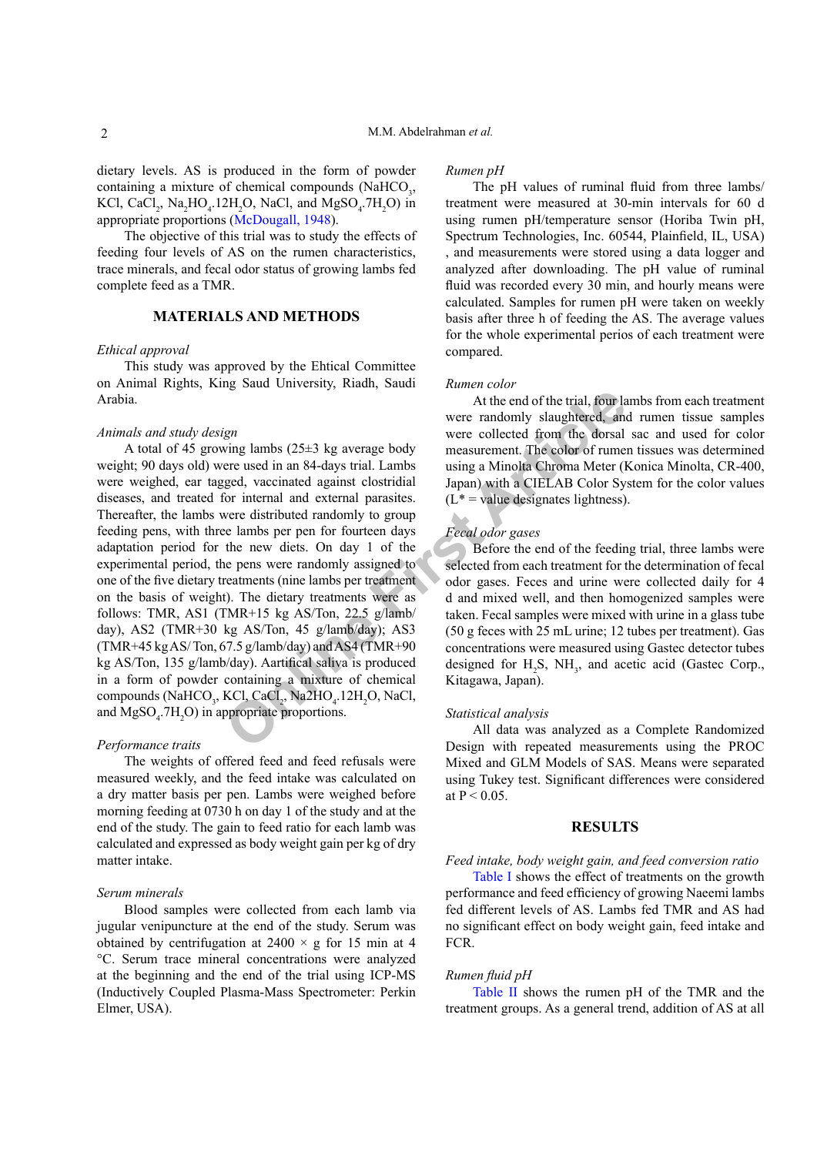dietary levels. AS is produced in the form of powder containing a mixture of chemical compounds (NaHCO<sub>3</sub>, KCl, CaCl<sub>2</sub>, Na<sub>2</sub>HO<sub>4</sub>.12H<sub>2</sub>O, NaCl, and MgSO<sub>4</sub>.7H<sub>2</sub>O) in appropriate proportions ([McDougall, 1948](#page-5-3)).

The objective of this trial was to study the effects of feeding four levels of AS on the rumen characteristics, trace minerals, and fecal odor status of growing lambs fed complete feed as a TMR.

## **MATERIALS AND METHODS**

## *Ethical approval*

This study was approved by the Ehtical Committee on Animal Rights, King Saud University, Riadh, Saudi Arabia.

## *Animals and study design*

At the end of the trial, four large are very containing a mixed are used in an 84-days trial. Lambs using a Minohal Chroma Meter (4) and the dotter of trunca and external and external and external parasites. ( $L^*$  = value A total of 45 growing lambs (25±3 kg average body weight; 90 days old) were used in an 84-days trial. Lambs were weighed, ear tagged, vaccinated against clostridial diseases, and treated for internal and external parasites. Thereafter, the lambs were distributed randomly to group feeding pens, with three lambs per pen for fourteen days adaptation period for the new diets. On day 1 of the experimental period, the pens were randomly assigned to one of the five dietary treatments (nine lambs per treatment on the basis of weight). The dietary treatments were as follows: TMR, AS1 (TMR+15 kg AS/Ton, 22.5 g/lamb/ day), AS2 (TMR+30 kg AS/Ton, 45 g/lamb/day); AS3  $(TMR+45 kg AS/Ton, 67.5 g/lamb/day)$  and AS4 (TMR+90) kg AS/Ton, 135 g/lamb/day). Aartifical saliva is produced in a form of powder containing a mixture of chemical compounds (NaHCO<sub>3</sub>, KCl, CaCl<sub>2</sub>, Na2HO<sub>4</sub>.12H<sub>2</sub>O, NaCl, and  $MgSO<sub>4</sub>$ .7H<sub>2</sub>O) in appropriate proportions.

#### *Performance traits*

The weights of offered feed and feed refusals were measured weekly, and the feed intake was calculated on a dry matter basis per pen. Lambs were weighed before morning feeding at 0730 h on day 1 of the study and at the end of the study. The gain to feed ratio for each lamb was calculated and expressed as body weight gain per kg of dry matter intake.

#### *Serum minerals*

Blood samples were collected from each lamb via jugular venipuncture at the end of the study. Serum was obtained by centrifugation at  $2400 \times g$  for 15 min at 4 °C. Serum trace mineral concentrations were analyzed at the beginning and the end of the trial using ICP-MS (Inductively Coupled Plasma-Mass Spectrometer: Perkin Elmer, USA).

#### *Rumen pH*

The pH values of ruminal fluid from three lambs/ treatment were measured at 30-min intervals for 60 d using rumen pH/temperature sensor (Horiba Twin pH, Spectrum Technologies, Inc. 60544, Plainfield, IL, USA) , and measurements were stored using a data logger and analyzed after downloading. The pH value of ruminal fluid was recorded every 30 min, and hourly means were calculated. Samples for rumen pH were taken on weekly basis after three h of feeding the AS. The average values for the whole experimental perios of each treatment were compared.

#### *Rumen color*

At the end of the trial, four lambs from each treatment were randomly slaughtered, and rumen tissue samples were collected from the dorsal sac and used for color measurement. The color of rumen tissues was determined using a Minolta Chroma Meter (Konica Minolta, CR-400, Japan) with a CIELAB Color System for the color values  $(L^* =$  value designates lightness).

#### *Fecal odor gases*

Before the end of the feeding trial, three lambs were selected from each treatment for the determination of fecal odor gases. Feces and urine were collected daily for 4 d and mixed well, and then homogenized samples were taken. Fecal samples were mixed with urine in a glass tube (50 g feces with 25 mL urine; 12 tubes per treatment). Gas concentrations were measured using Gastec detector tubes designed for  $H_2S$ ,  $NH_3$ , and acetic acid (Gastec Corp., Kitagawa, Japan).

#### *Statistical analysis*

All data was analyzed as a Complete Randomized Design with repeated measurements using the PROC Mixed and GLM Models of SAS. Means were separated using Tukey test. Significant differences were considered at  $P < 0.05$ .

#### **RESULTS**

*Feed intake, body weight gain, and feed conversion ratio*

[Table I](#page-2-0) shows the effect of treatments on the growth performance and feed efficiency of growing Naeemi lambs fed different levels of AS. Lambs fed TMR and AS had no significant effect on body weight gain, feed intake and FCR.

#### *Rumen fluid pH*

[Table II](#page-2-1) shows the rumen pH of the TMR and the treatment groups. As a general trend, addition of AS at all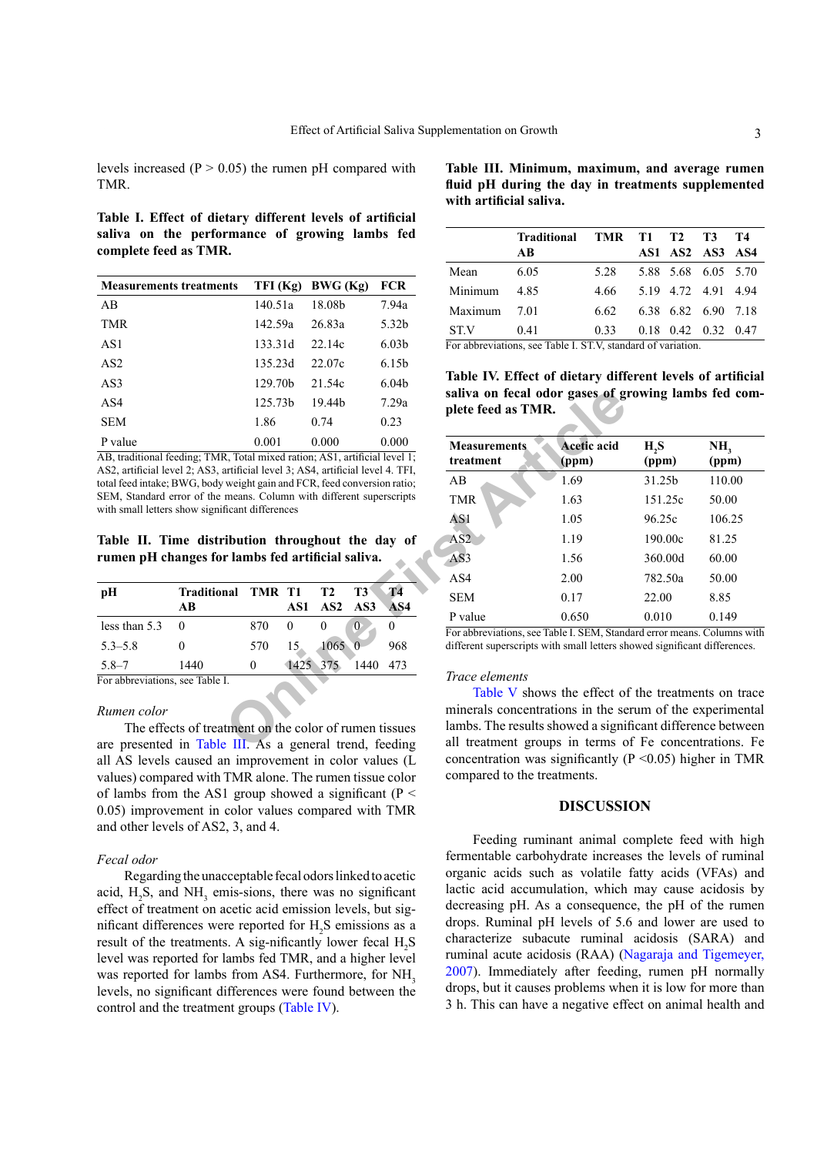levels increased ( $P > 0.05$ ) the rumen pH compared with TMR.

<span id="page-2-0"></span>**Table I. Effect of dietary different levels of artificial saliva on the performance of growing lambs fed complete feed as TMR.**

| <b>Measurements treatments</b> | TFI (Kg)            | BWG(Kg) | <b>FCR</b>        |
|--------------------------------|---------------------|---------|-------------------|
| AB                             | 140.51a             | 18.08b  | 7.94a             |
| <b>TMR</b>                     | 142.59a             | 26.83a  | 5.32b             |
| AS1                            | 133.31d             | 22.14c  | 6.03 <sub>b</sub> |
| AS <sub>2</sub>                | 135.23d             | 22.07c  | 6.15 <sub>b</sub> |
| AS3                            | 129.70 <sub>b</sub> | 21.54c  | 6.04 <sub>b</sub> |
| AS4                            | 125.73 <sub>b</sub> | 19.44b  | 7.29a             |
| <b>SEM</b>                     | 1.86                | 0.74    | 0.23              |
| P value                        | 0.001               | 0.000   | 0.000             |

AB, traditional feeding; TMR, Total mixed ration; AS1, artificial level 1; AS2, artificial level 2; AS3, artificial level 3; AS4, artificial level 4. TFI, total feed intake; BWG, body weight gain and FCR, feed conversion ratio; SEM, Standard error of the means. Column with different superscripts with small letters show significant differences

<span id="page-2-1"></span>**Table II. Time distribution throughout the day of rumen pH changes for lambs fed artificial saliva.**

| pH                              | Traditional TMR T1 |     |                 | T2      | T3   | <b>T4</b> |
|---------------------------------|--------------------|-----|-----------------|---------|------|-----------|
|                                 | AB                 |     | AS1.            | AS2 AS3 |      | AS4       |
| less than 5.3                   |                    | 870 | 0               |         | 0    |           |
| $5.3 - 5.8$                     |                    | 570 | 15 <sub>1</sub> | 1065    |      | 968       |
| $5.8 - 7$                       | 1440               | 0   | 1425 375        |         | 1440 | 473       |
| For abbreviations, see Table I. |                    |     |                 |         |      |           |

## *Rumen color*

The effects of treatment on the color of rumen tissues are presented in [Table III.](#page-2-2) As a general trend, feeding all AS levels caused an improvement in color values (L values) compared with TMR alone. The rumen tissue color of lambs from the AS1 group showed a significant ( $P \leq$ 0.05) improvement in color values compared with TMR and other levels of AS2, 3, and 4.

#### *Fecal odor*

Regarding the unacceptable fecal odors linked to acetic acid,  $H_2S$ , and  $NH_3$  emis-sions, there was no significant effect of treatment on acetic acid emission levels, but sigmificant differences were reported for  $H_2S$  emissions as a result of the treatments. A sig-nificantly lower fecal  $H_2S$ level was reported for lambs fed TMR, and a higher level was reported for lambs from AS4. Furthermore, for NH<sub>3</sub> levels, no significant differences were found between the control and the treatment groups ([Table IV](#page-2-3)).

<span id="page-2-2"></span>**Table III. Minimum, maximum, and average rumen fluid pH during the day in treatments supplemented with artificial saliva.**

|         | Traditional TMR T1 T2 T3 |      |  |                             | T4 |
|---------|--------------------------|------|--|-----------------------------|----|
|         | AB                       |      |  | AS1 AS2 AS3 AS4             |    |
| Mean    | 6.05                     | 5.28 |  | 5.88 5.68 6.05 5.70         |    |
| Minimum | 485                      | 4.66 |  | 5.19 4.72 4.91 4.94         |    |
| Maximum | 7.01                     | 6.62 |  | 6.38 6.82 6.90 7.18         |    |
| ST.V    | 0.41                     | 0.33 |  | $0.18$ $0.42$ $0.32$ $0.47$ |    |
| .       |                          |      |  |                             |    |

For abbreviations, see Table I. ST.V, standard of variation.

<span id="page-2-3"></span>**Table IV. Effect of dietary different levels of artificial saliva on fecal odor gases of growing lambs fed complete feed as TMR.**

|                                | 125.73b            | 19.44b                                                                                           | 7.29a                         | plete feed as TMR.  |  | saliva on fecal odor gases of growing lambs fed com-<br>Acetic acid<br>H, S<br>(ppm)<br>(ppm)<br>1.69<br>31.25b<br>1.63<br>151.25c<br>1.05<br>96.25c<br>1.19<br>190.00c<br>1.56<br>360,00d<br>2.00<br>782.50a<br>0.17<br>22.00<br>0.650<br>0.010<br>For abbreviations, see Table I. SEM, Standard error means. Columns with<br>different superscripts with small letters showed significant differences.<br>Table V shows the effect of the treatments on trace<br>minerals concentrations in the serum of the experimental<br>lambs. The results showed a significant difference between<br>all treatment groups in terms of Fe concentrations. Fe |        |  |  |
|--------------------------------|--------------------|--------------------------------------------------------------------------------------------------|-------------------------------|---------------------|--|-----------------------------------------------------------------------------------------------------------------------------------------------------------------------------------------------------------------------------------------------------------------------------------------------------------------------------------------------------------------------------------------------------------------------------------------------------------------------------------------------------------------------------------------------------------------------------------------------------------------------------------------------------|--------|--|--|
|                                | 1.86               | 0.74                                                                                             | 0.23                          |                     |  |                                                                                                                                                                                                                                                                                                                                                                                                                                                                                                                                                                                                                                                     |        |  |  |
|                                | 0.001              | 0.000                                                                                            | 0.000                         | <b>Measurements</b> |  |                                                                                                                                                                                                                                                                                                                                                                                                                                                                                                                                                                                                                                                     | NH,    |  |  |
|                                |                    | R, Total mixed ration; AS1, artificial level 1;                                                  |                               | treatment           |  |                                                                                                                                                                                                                                                                                                                                                                                                                                                                                                                                                                                                                                                     | (ppm)  |  |  |
|                                |                    | artificial level 3; AS4, artificial level 4. TFI,<br>weight gain and FCR, feed conversion ratio; |                               | AB                  |  |                                                                                                                                                                                                                                                                                                                                                                                                                                                                                                                                                                                                                                                     | 110.00 |  |  |
|                                |                    | means. Column with different superscripts                                                        |                               | <b>TMR</b>          |  |                                                                                                                                                                                                                                                                                                                                                                                                                                                                                                                                                                                                                                                     | 50.00  |  |  |
|                                | ficant differences |                                                                                                  |                               | AS1                 |  |                                                                                                                                                                                                                                                                                                                                                                                                                                                                                                                                                                                                                                                     | 106.25 |  |  |
|                                |                    | ibution throughout the day of                                                                    |                               | AS2                 |  |                                                                                                                                                                                                                                                                                                                                                                                                                                                                                                                                                                                                                                                     | 81.25  |  |  |
| r lambs fed artificial saliva. |                    |                                                                                                  |                               | AS3                 |  |                                                                                                                                                                                                                                                                                                                                                                                                                                                                                                                                                                                                                                                     | 60.00  |  |  |
|                                |                    |                                                                                                  |                               | AS4                 |  |                                                                                                                                                                                                                                                                                                                                                                                                                                                                                                                                                                                                                                                     | 50.00  |  |  |
| nal                            | TMR T1<br>AS1      | T <sub>2</sub><br>AS2                                                                            | <b>T4</b><br>T3<br>AS3<br>AS4 | <b>SEM</b>          |  |                                                                                                                                                                                                                                                                                                                                                                                                                                                                                                                                                                                                                                                     | 8.85   |  |  |
|                                |                    |                                                                                                  |                               | P value             |  |                                                                                                                                                                                                                                                                                                                                                                                                                                                                                                                                                                                                                                                     | 0.149  |  |  |
|                                | 870<br>$\Omega$    | $\Omega$<br>$\overline{0}$                                                                       | 0                             |                     |  |                                                                                                                                                                                                                                                                                                                                                                                                                                                                                                                                                                                                                                                     |        |  |  |
|                                | 15.<br>570         | 1065<br>$\Omega$                                                                                 | 968                           |                     |  |                                                                                                                                                                                                                                                                                                                                                                                                                                                                                                                                                                                                                                                     |        |  |  |
|                                | $\theta$           | 1425 375                                                                                         | 473<br>1440                   |                     |  |                                                                                                                                                                                                                                                                                                                                                                                                                                                                                                                                                                                                                                                     |        |  |  |
| Ī.                             |                    |                                                                                                  |                               | Trace elements      |  |                                                                                                                                                                                                                                                                                                                                                                                                                                                                                                                                                                                                                                                     |        |  |  |
|                                |                    |                                                                                                  |                               |                     |  |                                                                                                                                                                                                                                                                                                                                                                                                                                                                                                                                                                                                                                                     |        |  |  |
|                                |                    |                                                                                                  |                               |                     |  |                                                                                                                                                                                                                                                                                                                                                                                                                                                                                                                                                                                                                                                     |        |  |  |
|                                |                    | tment on the color of rumen tissues                                                              |                               |                     |  |                                                                                                                                                                                                                                                                                                                                                                                                                                                                                                                                                                                                                                                     |        |  |  |
|                                |                    | <b>E</b> III. As a general trend, feeding                                                        |                               |                     |  |                                                                                                                                                                                                                                                                                                                                                                                                                                                                                                                                                                                                                                                     |        |  |  |
|                                |                    |                                                                                                  |                               |                     |  |                                                                                                                                                                                                                                                                                                                                                                                                                                                                                                                                                                                                                                                     |        |  |  |

#### *Trace elements*

Table V shows the effect of the treatments on trace minerals concentrations in the serum of the experimental lambs. The results showed a significant difference between all treatment groups in terms of Fe concentrations. Fe concentration was significantly  $(P \le 0.05)$  higher in TMR compared to the treatments.

## **DISCUSSION**

Feeding ruminant animal complete feed with high fermentable carbohydrate increases the levels of ruminal organic acids such as volatile fatty acids (VFAs) and lactic acid accumulation, which may cause acidosis by decreasing pH. As a consequence, the pH of the rumen drops. Ruminal pH levels of 5.6 and lower are used to characterize subacute ruminal acidosis (SARA) and ruminal acute acidosis (RAA) ([Nagaraja and Tigemeyer,](#page-5-4) [2007\)](#page-5-4). Immediately after feeding, rumen pH normally drops, but it causes problems when it is low for more than 3 h. This can have a negative effect on animal health and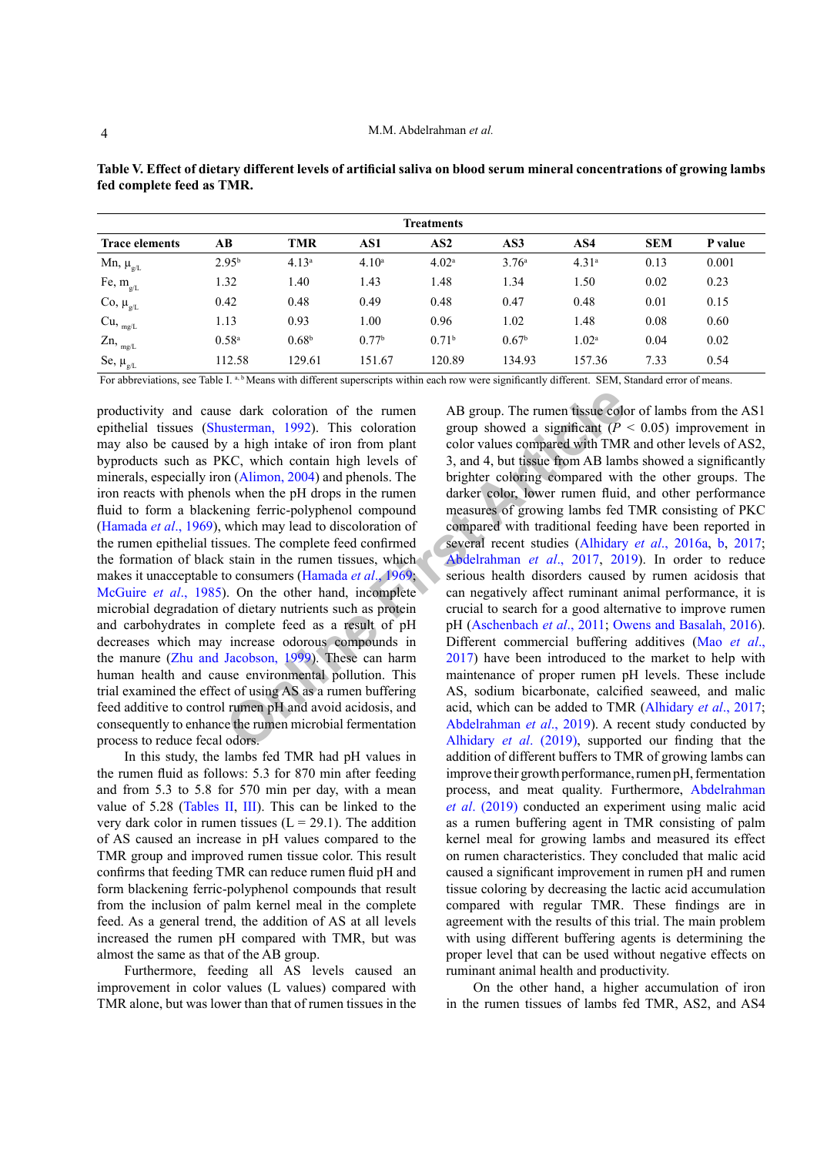| <b>Treatments</b>                                                                       |                   |                   |                                  |                   |                                                                                                                                                                                                                                                                                                                                                                               |                                                  |            |         |
|-----------------------------------------------------------------------------------------|-------------------|-------------------|----------------------------------|-------------------|-------------------------------------------------------------------------------------------------------------------------------------------------------------------------------------------------------------------------------------------------------------------------------------------------------------------------------------------------------------------------------|--------------------------------------------------|------------|---------|
| <b>Trace elements</b>                                                                   | AВ                | TMR               | AS1                              | AS <sub>2</sub>   | AS3                                                                                                                                                                                                                                                                                                                                                                           | AS4                                              | <b>SEM</b> | P value |
| Mn, $\mu_{g/L}$                                                                         | 2.95 <sup>b</sup> | 4.13 <sup>a</sup> | 4.10 <sup>a</sup>                | 4.02 <sup>a</sup> | 3.76 <sup>a</sup>                                                                                                                                                                                                                                                                                                                                                             | 4.31 <sup>a</sup>                                | 0.13       | 0.001   |
| Fe, $m_{g/L}$                                                                           | 1.32              | 1.40              | 1.43                             | 1.48              | 1.34                                                                                                                                                                                                                                                                                                                                                                          | 1.50                                             | 0.02       | 0.23    |
|                                                                                         | 0.42              | 0.48              | 0.49                             | 0.48              | 0.47                                                                                                                                                                                                                                                                                                                                                                          | 0.48                                             | 0.01       | 0.15    |
|                                                                                         | 1.13              | 0.93              | 1.00                             | 0.96              | 1.02                                                                                                                                                                                                                                                                                                                                                                          | 1.48                                             | 0.08       | 0.60    |
|                                                                                         | 0.58 <sup>a</sup> | 0.68 <sup>b</sup> | 0.77 <sup>b</sup>                | 0.71 <sup>b</sup> | 0.67 <sup>b</sup>                                                                                                                                                                                                                                                                                                                                                             | 1.02 <sup>a</sup>                                | 0.04       | 0.02    |
| Se, $\mu_{gL}$                                                                          | 112.58            | 129.61            | 151.67                           | 120.89            | 134.93                                                                                                                                                                                                                                                                                                                                                                        | 157.36                                           | 7.33       | 0.54    |
| Co, $\mu_{g/L}$<br>$Cu,$ $_{mg/L}$<br>$Zn$ , $_{mg/L}$<br>$\mathbf{r}$ and $\mathbf{r}$ | $m + 1$ $r + 1$   | $\cdots$          | $\sim$ $\sim$ $\sim$ $\sim$<br>. |                   | $\ddot{\phantom{a}}$ . $\ddot{\phantom{a}}$ . $\ddot{\phantom{a}}$ . $\ddot{\phantom{a}}$ . $\ddot{\phantom{a}}$ . $\ddot{\phantom{a}}$ . $\ddot{\phantom{a}}$ . $\ddot{\phantom{a}}$ . $\ddot{\phantom{a}}$ . $\ddot{\phantom{a}}$ . $\ddot{\phantom{a}}$ . $\ddot{\phantom{a}}$ . $\ddot{\phantom{a}}$ . $\ddot{\phantom{a}}$ . $\ddot{\phantom{a}}$ . $\ddot{\phantom{a}}$ | $\sim$ $\sim$ $\sim$ $\sim$ $\sim$ $\sim$ $\sim$ |            | $\sim$  |

<span id="page-3-0"></span>**Table V. Effect of dietary different levels of artificial saliva on blood serum mineral concentrations of growing lambs fed complete feed as TMR.**

For abbreviations, see Table I. a, b Means with different superscripts within each row were significantly different. SEM, Standard error of means.

Example the dark coloration of the rumen<br> **AB** group. The rumen tissue colusterman, 1992). This coloration group showed a significant ( $P$  va high intake of iron from plant color values compared with TMR<br> **KC**, which cont productivity and cause dark coloration of the rumen epithelial tissues (Shusterman, 1992). This coloration may also be caused by a high intake of iron from plant byproducts such as PKC, which contain high levels of minerals, especially iron (Alimon, 2004) and phenols. The iron reacts with phenols when the pH drops in the rumen fluid to form a blackening ferric-polyphenol compound ([Hamada](#page-5-7) *et al*., 1969), which may lead to discoloration of the rumen epithelial tissues. The complete feed confirmed the formation of black stain in the rumen tissues, which makes it unacceptable to consumers (Hamada *et al*., 1969; [McGuire](#page-5-8) *et al*., 1985). On the other hand, incomplete microbial degradation of dietary nutrients such as protein and carbohydrates in complete feed as a result of pH decreases which may increase odorous compounds in the manure ([Zhu and Jacobson, 1999](#page-6-0)). These can harm human health and cause environmental pollution. This trial examined the effect of using AS as a rumen buffering feed additive to control rumen pH and avoid acidosis, and consequently to enhance the rumen microbial fermentation process to reduce fecal odors.

In this study, the lambs fed TMR had pH values in the rumen fluid as follows: 5.3 for 870 min after feeding and from 5.3 to 5.8 for 570 min per day, with a mean value of 5.28 ([Tables II,](#page-2-1) [III](#page-2-2)). This can be linked to the very dark color in rumen tissues  $(L = 29.1)$ . The addition of AS caused an increase in pH values compared to the TMR group and improved rumen tissue color. This result confirms that feeding TMR can reduce rumen fluid pH and form blackening ferric-polyphenol compounds that result from the inclusion of palm kernel meal in the complete feed. As a general trend, the addition of AS at all levels increased the rumen pH compared with TMR, but was almost the same as that of the AB group.

Furthermore, feeding all AS levels caused an improvement in color values (L values) compared with TMR alone, but was lower than that of rumen tissues in the

AB group. The rumen tissue color of lambs from the AS1 group showed a significant  $(P < 0.05)$  improvement in color values compared with TMR and other levels of AS2, 3, and 4, but tissue from AB lambs showed a significantly brighter coloring compared with the other groups. The darker color, lower rumen fluid, and other performance measures of growing lambs fed TMR consisting of PKC compared with traditional feeding have been reported in several recent studies (Alhidary *et al*., 2016a, [b](#page-5-9), [2017](#page-5-9); Abdelrahman *et al*., 2017, [2019](#page-4-4)). In order to reduce serious health disorders caused by rumen acidosis that can negatively affect ruminant animal performance, it is crucial to search for a good alternative to improve rumen pH (Aschenbach *et al*., 2011; [Owens and Basalah, 2016](#page-5-10)). Different commercial buffering additives ([Mao](#page-5-11) *et al*., 2017) have been introduced to the market to help with maintenance of proper rumen pH levels. These include AS, sodium bicarbonate, calcified seaweed, and malic acid, which can be added to TMR [\(Alhidary](#page-5-9) *et al*., 2017; Abdelrahman *et al*., 2019). A recent study conducted by Alhidary *et al*. (2019), supported our finding that the addition of different buffers to TMR of growing lambs can improve their growth performance, rumen pH, fermentation process, and meat quality. Furthermore, [Abdelrahman](#page-4-4)  *et al*[. \(2019\)](#page-4-4) conducted an experiment using malic acid as a rumen buffering agent in TMR consisting of palm kernel meal for growing lambs and measured its effect on rumen characteristics. They concluded that malic acid caused a significant improvement in rumen pH and rumen tissue coloring by decreasing the lactic acid accumulation compared with regular TMR. These findings are in agreement with the results of this trial. The main problem with using different buffering agents is determining the proper level that can be used without negative effects on ruminant animal health and productivity.

On the other hand, a higher accumulation of iron in the rumen tissues of lambs fed TMR, AS2, and AS4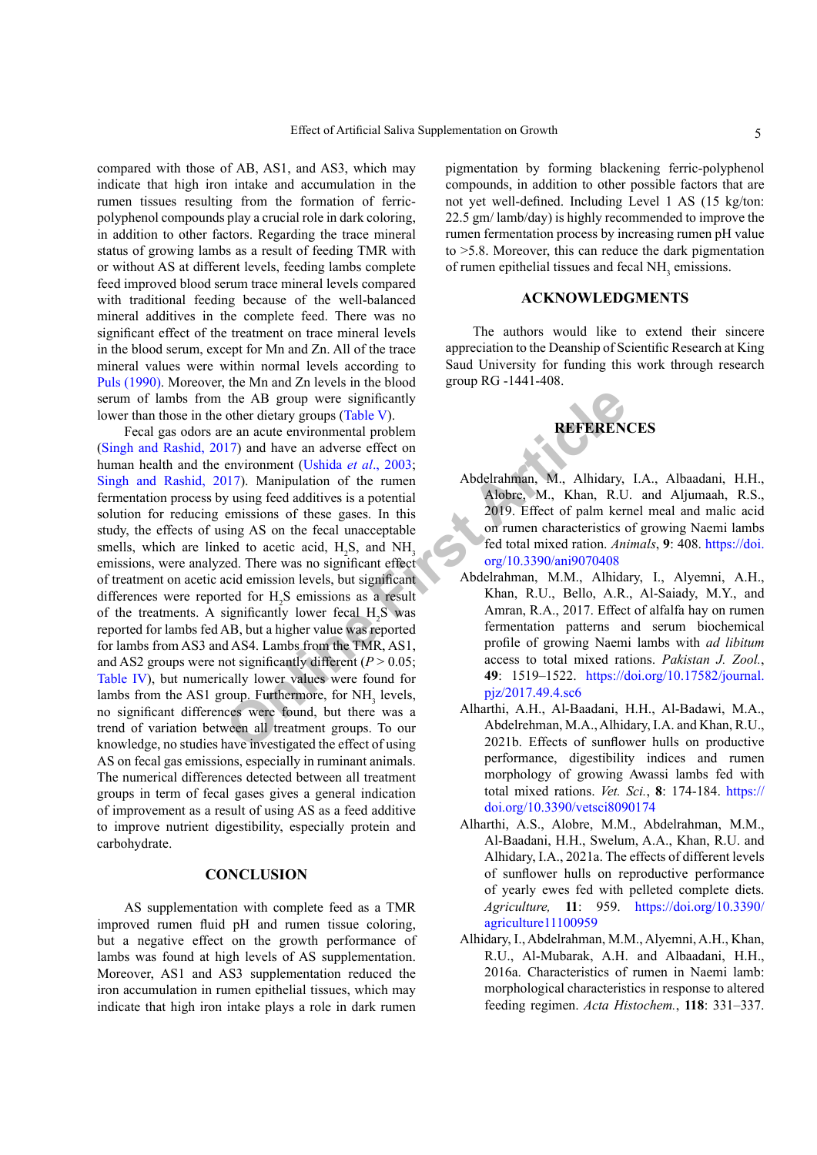compared with those of AB, AS1, and AS3, which may indicate that high iron intake and accumulation in the rumen tissues resulting from the formation of ferricpolyphenol compounds play a crucial role in dark coloring, in addition to other factors. Regarding the trace mineral status of growing lambs as a result of feeding TMR with or without AS at different levels, feeding lambs complete feed improved blood serum trace mineral levels compared with traditional feeding because of the well-balanced mineral additives in the complete feed. There was no significant effect of the treatment on trace mineral levels in the blood serum, except for Mn and Zn. All of the trace mineral values were within normal levels according to [Puls \(1990\)](#page-5-13). Moreover, the Mn and Zn levels in the blood serum of lambs from the AB group were significantly lower than those in the other dietary groups (Table V).

The AB group were significantly<br>
other dietary groups (Table V).<br>
The an acute environmental problem<br>
IT) and have an adverse effect on<br>
environment (Ushida *et al.*, 2003;<br>
DIT). Manipulation of the runen<br>
prissions of t Fecal gas odors are an acute environmental problem ([Singh and Rashid, 2017](#page-6-1)) and have an adverse effect on human health and the environment (Ushida *et al*., 2003; [Singh and Rashid, 2017](#page-6-1)). Manipulation of the rumen fermentation process by using feed additives is a potential solution for reducing emissions of these gases. In this study, the effects of using AS on the fecal unacceptable smells, which are linked to acetic acid,  $H_2S$ , and  $NH_3$ emissions, were analyzed. There was no significant effect of treatment on acetic acid emission levels, but significant differences were reported for  $H_2S$  emissions as a result of the treatments. A significantly lower fecal  $H_2S$  was reported for lambs fed AB, but a higher value was reported for lambs from AS3 and AS4. Lambs from the TMR, AS1, and AS2 groups were not significantly different ( $P > 0.05$ ; [Table IV](#page-2-3)), but numerically lower values were found for lambs from the AS1 group. Furthermore, for  $NH<sub>3</sub>$  levels, no significant differences were found, but there was a trend of variation between all treatment groups. To our knowledge, no studies have investigated the effect of using AS on fecal gas emissions, especially in ruminant animals. The numerical differences detected between all treatment groups in term of fecal gases gives a general indication of improvement as a result of using AS as a feed additive to improve nutrient digestibility, especially protein and carbohydrate.

## **CONCLUSION**

AS supplementation with complete feed as a TMR improved rumen fluid pH and rumen tissue coloring, but a negative effect on the growth performance of lambs was found at high levels of AS supplementation. Moreover, AS1 and AS3 supplementation reduced the iron accumulation in rumen epithelial tissues, which may indicate that high iron intake plays a role in dark rumen pigmentation by forming blackening ferric-polyphenol compounds, in addition to other possible factors that are not yet well-defined. Including Level 1 AS (15 kg/ton: 22.5 gm/ lamb/day) is highly recommended to improve the rumen fermentation process by increasing rumen pH value to >5.8. Moreover, this can reduce the dark pigmentation of rumen epithelial tissues and fecal  $NH<sub>3</sub>$  emissions.

## **ACKNOWLEDGMENTS**

The authors would like to extend their sincere appreciation to the Deanship of Scientific Research at King Saud University for funding this work through research group RG -1441-408.



- <span id="page-4-4"></span>Abdelrahman, M., Alhidary, I.A., Albaadani, H.H., Alobre, M., Khan, R.U. and Aljumaah, R.S., 2019. Effect of palm kernel meal and malic acid on rumen characteristics of growing Naemi lambs fed total mixed ration. *Animals*, **9**: 408. [https://doi.](https://doi.org/10.3390/ani9070408) org/10.3390/ani9070408
- <span id="page-4-3"></span>Abdelrahman, M.M., Alhidary, I., Alyemni, A.H., Khan, R.U., Bello, A.R., Al-Saiady, M.Y., and Amran, R.A., 2017. Effect of alfalfa hay on rumen fermentation patterns and serum biochemical profile of growing Naemi lambs with *ad libitum* access to total mixed rations. *Pakistan J. Zool.*, **49**: 1519–1522. [https://doi.org/10.17582/journal.](https://doi.org/10.17582/journal.pjz/2017.49.4.sc6) pjz/2017.49.4.sc6
- <span id="page-4-0"></span>Alharthi, A.H., Al-Baadani, H.H., Al-Badawi, M.A., Abdelrehman, M.A., Alhidary, I.A. and Khan, R.U., 2021b. Effects of sunflower hulls on productive performance, digestibility indices and rumen morphology of growing Awassi lambs fed with total mixed rations. *Vet. Sci.*, **8**: 174-184. [https://](https://doi.org/10.3390/vetsci8090174) [doi.org/10.3390/vetsci8090174](https://doi.org/10.3390/vetsci8090174)
- <span id="page-4-1"></span>Alharthi, A.S., Alobre, M.M., Abdelrahman, M.M., Al-Baadani, H.H., Swelum, A.A., Khan, R.U. and Alhidary, I.A., 2021a. The effects of different levels of sunflower hulls on reproductive performance of yearly ewes fed with pelleted complete diets. *Agriculture,* **11**: 959. [https://doi.org/10.3390/](https://doi.org/10.3390/agriculture11100959) [agriculture11100959](https://doi.org/10.3390/agriculture11100959)
- <span id="page-4-2"></span>Alhidary, I., Abdelrahman, M.M., Alyemni, A.H., Khan, R.U., Al-Mubarak, A.H. and Albaadani, H.H., 2016a. Characteristics of rumen in Naemi lamb: morphological characteristics in response to altered feeding regimen. *Acta Histochem.*, **118**: 331–337.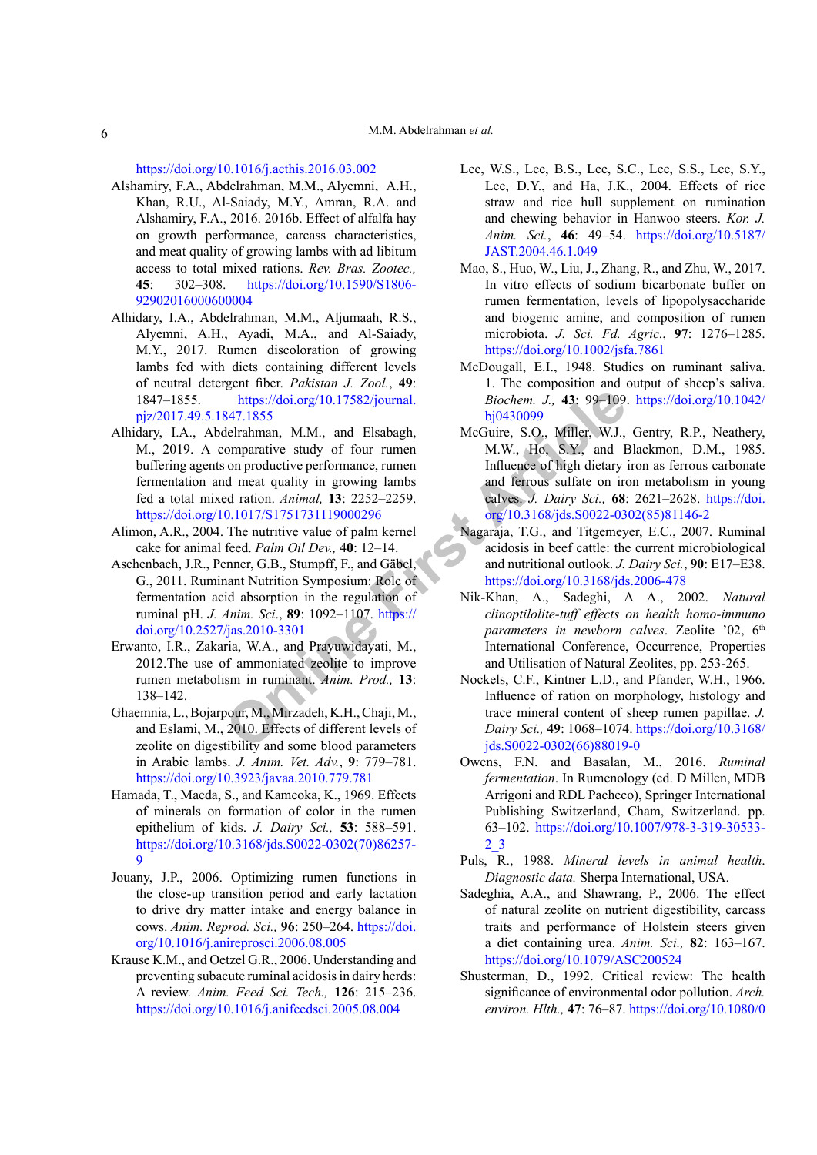<https://doi.org/10.1016/j.acthis.2016.03.002>

- Alshamiry, F.A., Abdelrahman, M.M., Alyemni, A.H., Khan, R.U., Al-Saiady, M.Y., Amran, R.A. and Alshamiry, F.A., 2016. 2016b. Effect of alfalfa hay on growth performance, carcass characteristics, and meat quality of growing lambs with ad libitum access to total mixed rations. *Rev. Bras. Zootec.,*  **45**: 302–308. [https://doi.org/10.1590/S1806-](https://doi.org/10.1590/S1806-92902016000600004) [92902016000600004](https://doi.org/10.1590/S1806-92902016000600004)
- <span id="page-5-9"></span>Alhidary, I.A., Abdelrahman, M.M., Aljumaah, R.S., Alyemni, A.H., Ayadi, M.A., and Al-Saiady, M.Y., 2017. Rumen discoloration of growing lambs fed with diets containing different levels of neutral detergent fiber. *Pakistan J. Zool.*, **49**: 1847–1855. https://doi.org/10.17582/journal. [pjz/2017.49.5.1847.1855](https://doi.org/10.17582/journal.pjz/2017.49.5.1847.1855)
- <span id="page-5-12"></span>https://doi.org/10.17582/journal. *Biochem. J.*, 43: 99–109.<br>
847.1855 bj0430099<br>
delrahman, M.M., and Elsabagh, McGuire, S.O., Miller, W.J.,<br>
on productive performance, runen m.M.W., Hos NY, and Is<br>
on productive performa Alhidary, I.A., Abdelrahman, M.M., and Elsabagh, M., 2019. A comparative study of four rumen buffering agents on productive performance, rumen fermentation and meat quality in growing lambs fed a total mixed ration. *Animal,* **13**: 2252–2259. <https://doi.org/10.1017/S1751731119000296>
- <span id="page-5-6"></span>Alimon, A.R., 2004. The nutritive value of palm kernel cake for animal feed. *Palm Oil Dev.,* 4**0**: 12–14.
- Aschenbach, J.R., Penner, G.B., Stumpff, F., and Gäbel, G., 2011. Ruminant Nutrition Symposium: Role of fermentation acid absorption in the regulation of ruminal pH. *J. Anim. Sci*., **89**: 1092–1107. https:// [doi.org/10.2527/jas.2010-3301](https://doi.org/10.2527/jas.2010-3301)
- Erwanto, I.R., Zakaria, W.A., and Prayuwidayati, M., 2012.The use of ammoniated zeolite to improve rumen metabolism in ruminant. *Anim. Prod.,* **13**: 138–142.
- Ghaemnia, L., Bojarpour, M., Mirzadeh, K.H., Chaji, M., and Eslami, M., 2010. Effects of different levels of zeolite on digestibility and some blood parameters in Arabic lambs. *J. Anim. Vet. Adv.*, **9**: 779–781. <https://doi.org/10.3923/javaa.2010.779.781>
- <span id="page-5-7"></span>Hamada, T., Maeda, S., and Kameoka, K., 1969. Effects of minerals on formation of color in the rumen epithelium of kids. *J. Dairy Sci.,* **53**: 588–591. [https://doi.org/10.3168/jds.S0022-0302\(70\)86257-](https://doi.org/10.3168/jds.S0022-0302(70)86257-9) [9](https://doi.org/10.3168/jds.S0022-0302(70)86257-9)
- <span id="page-5-2"></span>Jouany, J.P., 2006. Optimizing rumen functions in the close-up transition period and early lactation to drive dry matter intake and energy balance in cows. *Anim. Reprod. Sci.,* **96**: 250–264. [https://doi.](https://doi.org/10.1016/j.anireprosci.2006.08.005) [org/10.1016/j.anireprosci.2006.08.005](https://doi.org/10.1016/j.anireprosci.2006.08.005)
- <span id="page-5-1"></span>Krause K.M., and Oetzel G.R., 2006. Understanding and preventing subacute ruminal acidosis in dairy herds: A review. *Anim. Feed Sci. Tech.,* **126**: 215–236. <https://doi.org/10.1016/j.anifeedsci.2005.08.004>
- <span id="page-5-0"></span>Lee, W.S., Lee, B.S., Lee, S.C., Lee, S.S., Lee, S.Y., Lee, D.Y., and Ha, J.K., 2004. Effects of rice straw and rice hull supplement on rumination and chewing behavior in Hanwoo steers. *Kor. J. Anim. Sci.*, **46**: 49–54. [https://doi.org/10.5187/](https://doi.org/10.5187/JAST.2004.46.1.049) [JAST.2004.46.1.049](https://doi.org/10.5187/JAST.2004.46.1.049)
- <span id="page-5-11"></span>Mao, S., Huo, W., Liu, J., Zhang, R., and Zhu, W., 2017. In vitro effects of sodium bicarbonate buffer on rumen fermentation, levels of lipopolysaccharide and biogenic amine, and composition of rumen microbiota. *J. Sci. Fd. Agric.*, **97**: 1276–1285. <https://doi.org/10.1002/jsfa.7861>
- <span id="page-5-3"></span>McDougall, E.I., 1948. Studies on ruminant saliva. 1. The composition and output of sheep's saliva. *Biochem. J.,* **43**: 99–109. [https://doi.org/10.1042/](https://doi.org/10.1042/bj0430099) bj0430099
- <span id="page-5-8"></span>McGuire, S.O., Miller, W.J., Gentry, R.P., Neathery, M.W., Ho, S.Y., and Blackmon, D.M., 1985. Influence of high dietary iron as ferrous carbonate and ferrous sulfate on iron metabolism in young calves. *J. Dairy Sci.,* **68**: 2621–2628. [https://doi.](https://doi.org/10.3168/jds.S0022-0302(85)81146-2) [org/10.3168/jds.S0022-0302\(85\)81146-2](https://doi.org/10.3168/jds.S0022-0302(85)81146-2)
- <span id="page-5-4"></span>Nagaraja, T.G., and Titgemeyer, E.C., 2007. Ruminal acidosis in beef cattle: the current microbiological and nutritional outlook. *J. Dairy Sci.*, **90**: E17–E38. <https://doi.org/10.3168/jds.2006-478>
- Nik-Khan, A., Sadeghi, A A., 2002. *Natural clinoptilolite-tuff effects on health homo-immuno parameters in newborn calves.* Zeolite '02, 6<sup>th</sup> International Conference, Occurrence, Properties and Utilisation of Natural Zeolites, pp. 253-265.
- Nockels, C.F., Kintner L.D., and Pfander, W.H., 1966. Influence of ration on morphology, histology and trace mineral content of sheep rumen papillae. *J. Dairy Sci.,* **49**: 1068–1074. [https://doi.org/10.3168/](https://doi.org/10.3168/jds.S0022-0302(66)88019-0) [jds.S0022-0302\(66\)88019-0](https://doi.org/10.3168/jds.S0022-0302(66)88019-0)
- <span id="page-5-10"></span>Owens, F.N. and Basalan, M., 2016. *Ruminal fermentation*. In Rumenology (ed. D Millen, MDB Arrigoni and RDL Pacheco), Springer International Publishing Switzerland, Cham, Switzerland. pp. 63–102. [https://doi.org/10.1007/978-3-319-30533-](https://doi.org/10.1007/978-3-319-30533-2_3) [2\\_3](https://doi.org/10.1007/978-3-319-30533-2_3)
- <span id="page-5-13"></span>Puls, R., 1988. *Mineral levels in animal health*. *Diagnostic data.* Sherpa International, USA.
- Sadeghia, A.A., and Shawrang, P., 2006. The effect of natural zeolite on nutrient digestibility, carcass traits and performance of Holstein steers given a diet containing urea. *Anim. Sci.,* **82**: 163–167. <https://doi.org/10.1079/ASC200524>
- <span id="page-5-5"></span>Shusterman, D., 1992. Critical review: The health significance of environmental odor pollution. *Arch. environ. Hlth.,* **47**: 76–87. [https://doi.org/10.1080/0](https://doi.org/10.1080/00039896.1992.9935948)